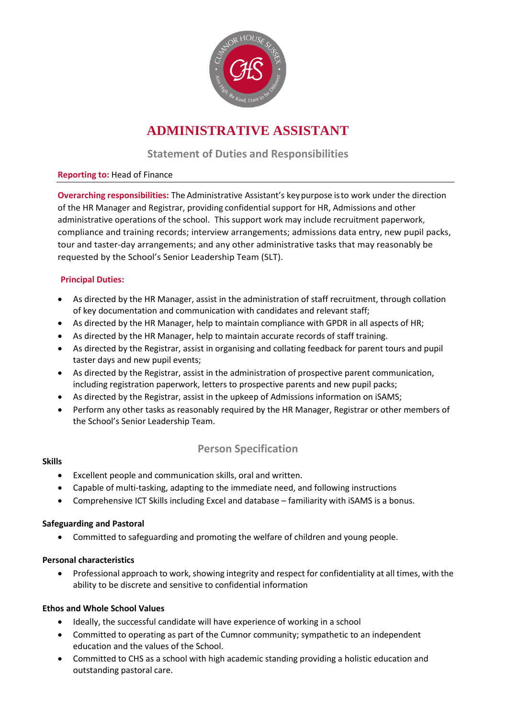

# **ADMINISTRATIVE ASSISTANT**

## **Statement of Duties and Responsibilities**

#### **Reporting to:** Head of Finance

**Overarching responsibilities:** The Administrative Assistant's keypurpose isto work under the direction of the HR Manager and Registrar, providing confidential support for HR, Admissions and other administrative operations of the school. This support work may include recruitment paperwork, compliance and training records; interview arrangements; admissions data entry, new pupil packs, tour and taster-day arrangements; and any other administrative tasks that may reasonably be requested by the School's Senior Leadership Team (SLT).

#### **Principal Duties:**

- As directed by the HR Manager, assist in the administration of staff recruitment, through collation of key documentation and communication with candidates and relevant staff;
- As directed by the HR Manager, help to maintain compliance with GPDR in all aspects of HR;
- As directed by the HR Manager, help to maintain accurate records of staff training.
- As directed by the Registrar, assist in organising and collating feedback for parent tours and pupil taster days and new pupil events;
- As directed by the Registrar, assist in the administration of prospective parent communication, including registration paperwork, letters to prospective parents and new pupil packs;
- As directed by the Registrar, assist in the upkeep of Admissions information on iSAMS;
- Perform any other tasks as reasonably required by the HR Manager, Registrar or other members of the School's Senior Leadership Team.

### **Person Specification**

#### **Skills**

- Excellent people and communication skills, oral and written.
- Capable of multi-tasking, adapting to the immediate need, and following instructions
- Comprehensive ICT Skills including Excel and database familiarity with iSAMS is a bonus.

#### **Safeguarding and Pastoral**

Committed to safeguarding and promoting the welfare of children and young people.

#### **Personal characteristics**

 Professional approach to work, showing integrity and respect for confidentiality at all times, with the ability to be discrete and sensitive to confidential information

#### **Ethos and Whole School Values**

- Ideally, the successful candidate will have experience of working in a school
- Committed to operating as part of the Cumnor community; sympathetic to an independent education and the values of the School.
- Committed to CHS as a school with high academic standing providing a holistic education and outstanding pastoral care.